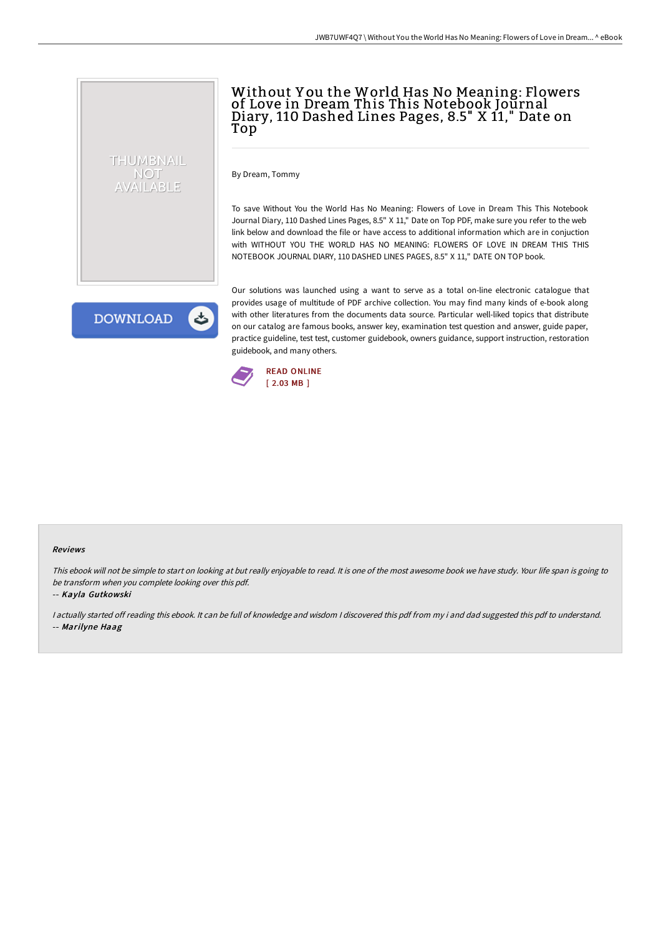## Without Y ou the World Has No Meaning: Flowers of Love in Dream This This Notebook Journal Diary, 110 Dashed Lines Pages, 8.5" X 11," Date on Top

By Dream, Tommy

To save Without You the World Has No Meaning: Flowers of Love in Dream This This Notebook Journal Diary, 110 Dashed Lines Pages, 8.5" X 11," Date on Top PDF, make sure you refer to the web link below and download the file or have access to additional information which are in conjuction with WITHOUT YOU THE WORLD HAS NO MEANING: FLOWERS OF LOVE IN DREAM THIS THIS NOTEBOOK JOURNAL DIARY, 110 DASHED LINES PAGES, 8.5" X 11," DATE ON TOP book.

**DOWNLOAD** 

THUMBNAIL **NOT** AVAILABLE

> Our solutions was launched using a want to serve as a total on-line electronic catalogue that provides usage of multitude of PDF archive collection. You may find many kinds of e-book along with other literatures from the documents data source. Particular well-liked topics that distribute on our catalog are famous books, answer key, examination test question and answer, guide paper, practice guideline, test test, customer guidebook, owners guidance, support instruction, restoration guidebook, and many others.



## Reviews

This ebook will not be simple to start on looking at but really enjoyable to read. It is one of the most awesome book we have study. Your life span is going to be transform when you complete looking over this pdf.

## -- Kayla Gutkowski

I actually started off reading this ebook. It can be full of knowledge and wisdom I discovered this pdf from my i and dad suggested this pdf to understand. -- Marilyne Haag